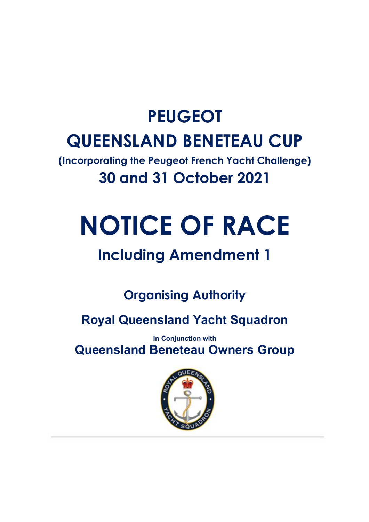# **PEUGEOT QUEENSLAND BENETEAU CUP**

**(Incorporating the Peugeot French Yacht Challenge) 30 and 31 October 2021**

# **NOTICE OF RACE**

# **Including Amendment 1**

**Organising Authority**

**Royal Queensland Yacht Squadron**

**In Conjunction with Queensland Beneteau Owners Group**

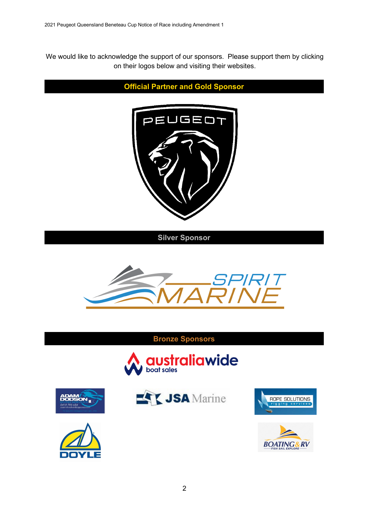We would like to acknowledge the support of our sponsors. Please support them by clicking on their logos below and visiting their websites.



<u>АМ</u> ON.







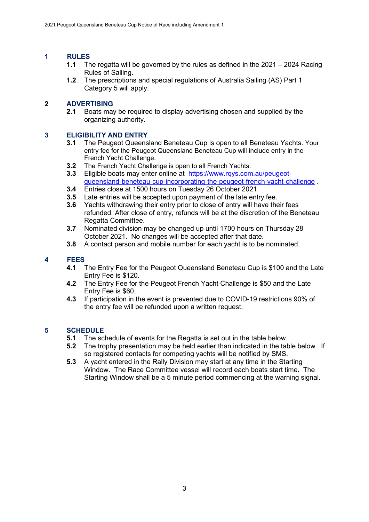# **1 RULES**

- **1.1** The regatta will be governed by the rules as defined in the 2021 2024 Racing Rules of Sailing.
- **1.2** The prescriptions and special regulations of Australia Sailing (AS) Part 1 Category 5 will apply.

#### **2 ADVERTISING**

**2.1** Boats may be required to display advertising chosen and supplied by the organizing authority.

#### **3 ELIGIBILITY AND ENTRY**

- **3.1** The Peugeot Queensland Beneteau Cup is open to all Beneteau Yachts. Your entry fee for the Peugeot Queensland Beneteau Cup will include entry in the French Yacht Challenge.
- **3.2** The French Yacht Challenge is open to all French Yachts.<br>**3.3** Eligible boats may enter online at https://www.rgys.com
- **3.3** Eligible boats may enter online at [https://www.rqys.com.au/peugeot](https://www.rqys.com.au/peugeot-queensland-beneteau-cup-incorporating-the-peugeot-french-yacht-challenge)[queensland-beneteau-cup-incorporating-the-peugeot-french-yacht-challenge](https://www.rqys.com.au/peugeot-queensland-beneteau-cup-incorporating-the-peugeot-french-yacht-challenge) .
- **3.4** Entries close at 1500 hours on Tuesday 26 October 2021.
- **3.5** Late entries will be accepted upon payment of the late entry fee.<br>**3.6** Yachts withdrawing their entry prior to close of entry will have the
- **3.6** Yachts withdrawing their entry prior to close of entry will have their fees refunded. After close of entry, refunds will be at the discretion of the Beneteau Regatta Committee.
- **3.7** Nominated division may be changed up until 1700 hours on Thursday 28 October 2021. No changes will be accepted after that date.
- **3.8** A contact person and mobile number for each yacht is to be nominated.

# **4 FEES**

- **4.1** The Entry Fee for the Peugeot Queensland Beneteau Cup is \$100 and the Late Entry Fee is \$120.
- **4.2** The Entry Fee for the Peugeot French Yacht Challenge is \$50 and the Late Entry Fee is \$60.
- **4.3** If participation in the event is prevented due to COVID-19 restrictions 90% of the entry fee will be refunded upon a written request.

#### **5 SCHEDULE**

- **5.1** The schedule of events for the Regatta is set out in the table below.
- **5.2** The trophy presentation may be held earlier than indicated in the table below. If so registered contacts for competing yachts will be notified by SMS.
- **5.3** A yacht entered in the Rally Division may start at any time in the Starting Window. The Race Committee vessel will record each boats start time. The Starting Window shall be a 5 minute period commencing at the warning signal.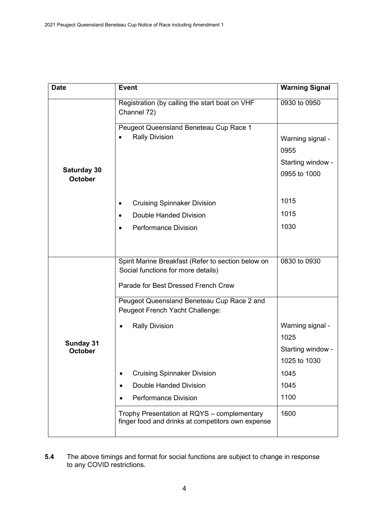| <b>Date</b>                   | <b>Event</b>                                                                                     | <b>Warning Signal</b> |
|-------------------------------|--------------------------------------------------------------------------------------------------|-----------------------|
| Saturday 30<br><b>October</b> | Registration (by calling the start boat on VHF<br>Channel 72)                                    | 0930 to 0950          |
|                               | Peugeot Queensland Beneteau Cup Race 1                                                           |                       |
|                               | <b>Rally Division</b>                                                                            | Warning signal -      |
|                               |                                                                                                  | 0955                  |
|                               |                                                                                                  | Starting window -     |
|                               |                                                                                                  | 0955 to 1000          |
|                               | <b>Cruising Spinnaker Division</b><br>$\bullet$                                                  | 1015                  |
|                               | Double Handed Division                                                                           | 1015                  |
|                               | <b>Performance Division</b>                                                                      | 1030                  |
|                               |                                                                                                  |                       |
| Sunday 31<br><b>October</b>   | Spirit Marine Breakfast (Refer to section below on<br>Social functions for more details)         | 0830 to 0930          |
|                               | Parade for Best Dressed French Crew                                                              |                       |
|                               | Peugeot Queensland Beneteau Cup Race 2 and<br>Peugeot French Yacht Challenge:                    |                       |
|                               | <b>Rally Division</b>                                                                            | Warning signal -      |
|                               |                                                                                                  | 1025                  |
|                               |                                                                                                  | Starting window -     |
|                               |                                                                                                  | 1025 to 1030          |
|                               | <b>Cruising Spinnaker Division</b>                                                               | 1045                  |
|                               | Double Handed Division<br>٠                                                                      | 1045                  |
|                               | <b>Performance Division</b>                                                                      | 1100                  |
|                               | Trophy Presentation at RQYS - complementary<br>finger food and drinks at competitors own expense | 1600                  |

**5.4** The above timings and format for social functions are subject to change in response to any COVID restrictions.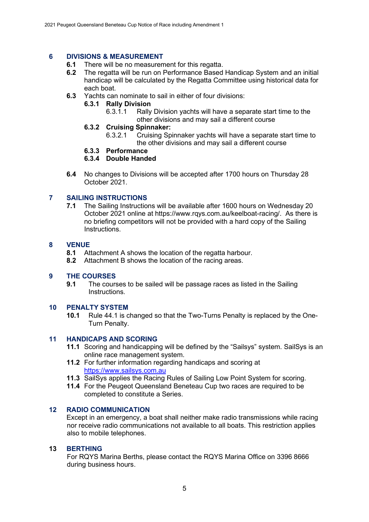# **6 DIVISIONS & MEASUREMENT**

- **6.1** There will be no measurement for this regatta.<br>**6.2** The regatta will be run on Performance Based
- **6.2** The regatta will be run on Performance Based Handicap System and an initial handicap will be calculated by the Regatta Committee using historical data for each boat.
- **6.3** Yachts can nominate to sail in either of four divisions:

## **6.3.1 Rally Division**

- Rally Division yachts will have a separate start time to the other divisions and may sail a different course
- **6.3.2 Cruising Spinnaker:**
	- 6.3.2.1 Cruising Spinnaker yachts will have a separate start time to the other divisions and may sail a different course
- **6.3.3 Performance**

#### **6.3.4 Double Handed**

**6.4** No changes to Divisions will be accepted after 1700 hours on Thursday 28 October 2021.

#### **7 SAILING INSTRUCTIONS**

**7.1** The Sailing Instructions will be available after 1600 hours on Wednesday 20 October 2021 online at https://www.rqys.com.au/keelboat-racing/. As there is no briefing competitors will not be provided with a hard copy of the Sailing Instructions.

#### **8 VENUE**

- **8.1** Attachment A shows the location of the regatta harbour.
- **8.2** Attachment B shows the location of the racing areas.

#### **9 THE COURSES**

**9.1** The courses to be sailed will be passage races as listed in the Sailing Instructions.

#### **10 PENALTY SYSTEM**

**10.1** Rule 44.1 is changed so that the Two-Turns Penalty is replaced by the One-Turn Penalty.

#### **11 HANDICAPS AND SCORING**

- **11.1** Scoring and handicapping will be defined by the "Sailsys" system. SailSys is an online race management system.
- **11.2** For further information regarding handicaps and scoring at [https://www.sailsys.com.au](https://www.sailsys.com.au/)
- **11.3** SailSys applies the Racing Rules of Sailing Low Point System for scoring.
- **11.4** For the Peugeot Queensland Beneteau Cup two races are required to be completed to constitute a Series.

#### **12 RADIO COMMUNICATION**

Except in an emergency, a boat shall neither make radio transmissions while racing nor receive radio communications not available to all boats. This restriction applies also to mobile telephones.

#### **13 BERTHING**

For RQYS Marina Berths, please contact the RQYS Marina Office on 3396 8666 during business hours.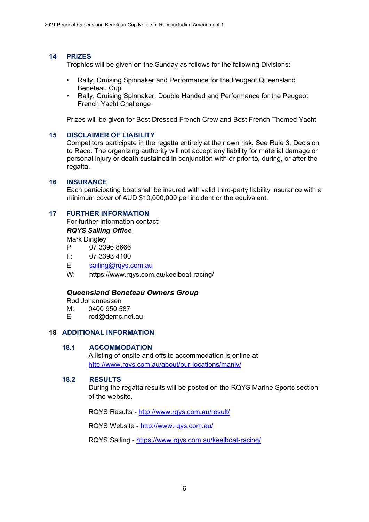#### **14 PRIZES**

Trophies will be given on the Sunday as follows for the following Divisions:

- Rally, Cruising Spinnaker and Performance for the Peugeot Queensland Beneteau Cup
- Rally, Cruising Spinnaker, Double Handed and Performance for the Peugeot French Yacht Challenge

Prizes will be given for Best Dressed French Crew and Best French Themed Yacht

#### **15 DISCLAIMER OF LIABILITY**

Competitors participate in the regatta entirely at their own risk. See Rule 3, Decision to Race. The organizing authority will not accept any liability for material damage or personal injury or death sustained in conjunction with or prior to, during, or after the regatta.

#### **16 INSURANCE**

Each participating boat shall be insured with valid third-party liability insurance with a minimum cover of AUD \$10,000,000 per incident or the equivalent.

#### **17 FURTHER INFORMATION**

For further information contact:

#### *RQYS Sailing Office*

Mark Dingley

- P: 07 3396 8666
- F: 07 3393 4100

E: [sailing@rqys.com.au](mailto:sailing@rqys.com.au)

W: https://www.rqys.com.au/keelboat-racing/

#### *Queensland Beneteau Owners Group*

Rod Johannessen<br>M: 0400 950 5

- M:  $0400\,950\,587$ <br>F: rod@demc.ne
- rod@demc.net.au

#### **18 ADDITIONAL INFORMATION**

#### **18.1 ACCOMMODATION**

A listing of onsite and offsite accommodation is online at <http://www.rqys.com.au/about/our-locations/manly/>

#### **18.2 RESULTS**

During the regatta results will be posted on the RQYS Marine Sports section of the website.

RQYS Results - <http://www.rqys.com.au/result/>

RQYS Website - http://www.rqys.com.au/

RQYS Sailing - <https://www.rqys.com.au/keelboat-racing/>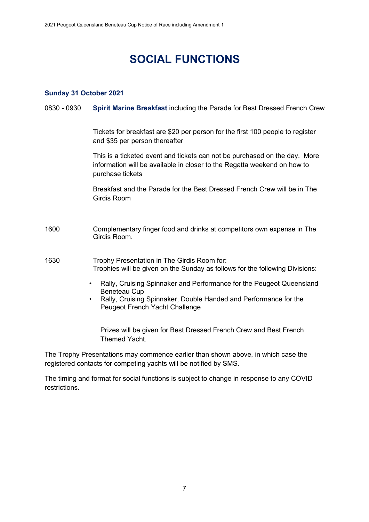# **SOCIAL FUNCTIONS**

#### **Sunday 31 October 2021**

#### 0830 - 0930 **Spirit Marine Breakfast** including the Parade for Best Dressed French Crew

Tickets for breakfast are \$20 per person for the first 100 people to register and \$35 per person thereafter

This is a ticketed event and tickets can not be purchased on the day. More information will be available in closer to the Regatta weekend on how to purchase tickets

Breakfast and the Parade for the Best Dressed French Crew will be in The Girdis Room

- 1600 Complementary finger food and drinks at competitors own expense in The Girdis Room.
- 1630 Trophy Presentation in The Girdis Room for: Trophies will be given on the Sunday as follows for the following Divisions:
	- Rally, Cruising Spinnaker and Performance for the Peugeot Queensland Beneteau Cup
	- Rally, Cruising Spinnaker, Double Handed and Performance for the Peugeot French Yacht Challenge

Prizes will be given for Best Dressed French Crew and Best French Themed Yacht.

The Trophy Presentations may commence earlier than shown above, in which case the registered contacts for competing yachts will be notified by SMS.

The timing and format for social functions is subject to change in response to any COVID restrictions.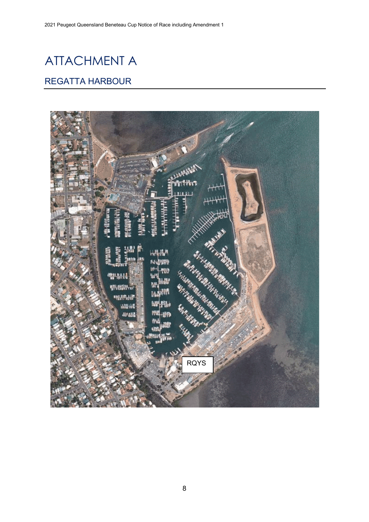# ATTACHMENT A

### REGATTA HARBOUR